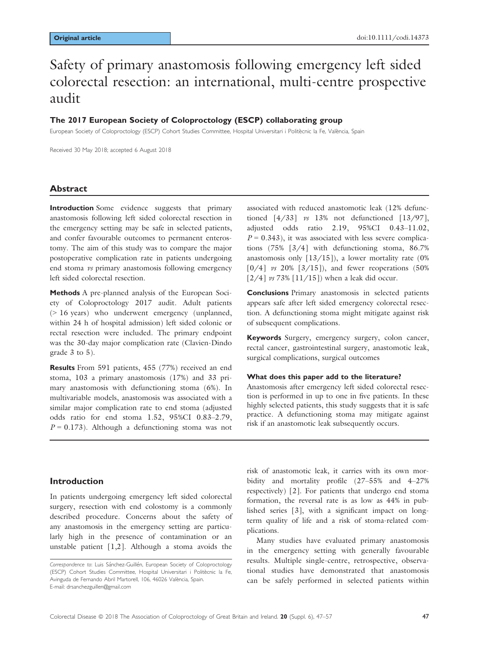# Safety of primary anastomosis following emergency left sided colorectal resection: an international, multi-centre prospective audit

# The 2017 European Society of Coloproctology (ESCP) collaborating group

European Society of Coloproctology (ESCP) Cohort Studies Committee, Hospital Universitari i Politecnic la Fe, Valencia, Spain

Received 30 May 2018; accepted 6 August 2018

## Abstract

Introduction Some evidence suggests that primary anastomosis following left sided colorectal resection in the emergency setting may be safe in selected patients, and confer favourable outcomes to permanent enterostomy. The aim of this study was to compare the major postoperative complication rate in patients undergoing end stoma vs primary anastomosis following emergency left sided colorectal resection.

Methods A pre-planned analysis of the European Society of Coloproctology 2017 audit. Adult patients (> 16 years) who underwent emergency (unplanned, within 24 h of hospital admission) left sided colonic or rectal resection were included. The primary endpoint was the 30-day major complication rate (Clavien-Dindo grade 3 to 5).

Results From 591 patients, 455 (77%) received an end stoma, 103 a primary anastomosis (17%) and 33 primary anastomosis with defunctioning stoma (6%). In multivariable models, anastomosis was associated with a similar major complication rate to end stoma (adjusted odds ratio for end stoma 1.52, 95%CI 0.83–2.79,  $P = 0.173$ ). Although a defunctioning stoma was not associated with reduced anastomotic leak (12% defunctioned  $\left[4/33\right]$  *vs* 13% not defunctioned  $\left[13/97\right]$ , adjusted odds ratio 2.19, 95%CI 0.43–11.02,  $P = 0.343$ , it was associated with less severe complications (75% [3/4] with defunctioning stoma, 86.7% anastomosis only  $[13/15]$ , a lower mortality rate (0%)  $\left[0/4\right]$  *vs* 20%  $\left[3/15\right]$ , and fewer reoperations (50%)  $[2/4]$  vs 73%  $[11/15]$ ) when a leak did occur.

Conclusions Primary anastomosis in selected patients appears safe after left sided emergency colorectal resection. A defunctioning stoma might mitigate against risk of subsequent complications.

Keywords Surgery, emergency surgery, colon cancer, rectal cancer, gastrointestinal surgery, anastomotic leak, surgical complications, surgical outcomes

#### What does this paper add to the literature?

Anastomosis after emergency left sided colorectal resection is performed in up to one in five patients. In these highly selected patients, this study suggests that it is safe practice. A defunctioning stoma may mitigate against risk if an anastomotic leak subsequently occurs.

# Introduction

In patients undergoing emergency left sided colorectal surgery, resection with end colostomy is a commonly described procedure. Concerns about the safety of any anastomosis in the emergency setting are particularly high in the presence of contamination or an unstable patient [1,2]. Although a stoma avoids the

risk of anastomotic leak, it carries with its own morbidity and mortality profile (27–55% and 4–27% respectively) [2]. For patients that undergo end stoma formation, the reversal rate is as low as 44% in published series [3], with a significant impact on longterm quality of life and a risk of stoma-related complications.

Many studies have evaluated primary anastomosis in the emergency setting with generally favourable results. Multiple single-centre, retrospective, observational studies have demonstrated that anastomosis can be safely performed in selected patients within

Correspondence to: Luis Sánchez-Guillén, European Society of Coloproctology (ESCP) Cohort Studies Committee, Hospital Universitari i Politècnic la Fe, Avinguda de Fernando Abril Martorell, 106, 46026 Valencia, Spain. E-mail: [drsanchezguillen@gmail.com](mailto:)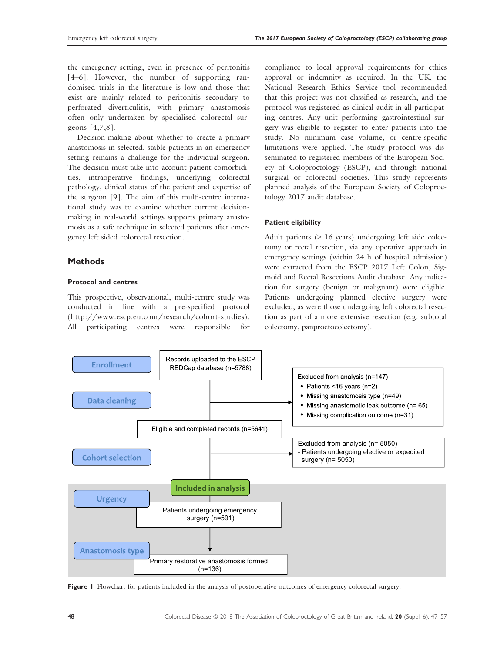the emergency setting, even in presence of peritonitis [4–6]. However, the number of supporting randomised trials in the literature is low and those that exist are mainly related to peritonitis secondary to perforated diverticulitis, with primary anastomosis often only undertaken by specialised colorectal surgeons [4,7,8].

Decision-making about whether to create a primary anastomosis in selected, stable patients in an emergency setting remains a challenge for the individual surgeon. The decision must take into account patient comorbidities, intraoperative findings, underlying colorectal pathology, clinical status of the patient and expertise of the surgeon [9]. The aim of this multi-centre international study was to examine whether current decisionmaking in real-world settings supports primary anastomosis as a safe technique in selected patients after emergency left sided colorectal resection.

# **Methods**

#### Protocol and centres

This prospective, observational, multi-centre study was conducted in line with a pre-specified protocol ([http://www.escp.eu.com/research/cohort-studies\)](http://www.escp.eu.com/research/cohort-studies). All participating centres were responsible for

compliance to local approval requirements for ethics approval or indemnity as required. In the UK, the National Research Ethics Service tool recommended that this project was not classified as research, and the protocol was registered as clinical audit in all participating centres. Any unit performing gastrointestinal surgery was eligible to register to enter patients into the study. No minimum case volume, or centre-specific limitations were applied. The study protocol was disseminated to registered members of the European Society of Coloproctology (ESCP), and through national surgical or colorectal societies. This study represents planned analysis of the European Society of Coloproctology 2017 audit database.

## Patient eligibility

Adult patients  $(> 16$  years) undergoing left side colectomy or rectal resection, via any operative approach in emergency settings (within 24 h of hospital admission) were extracted from the ESCP 2017 Left Colon, Sigmoid and Rectal Resections Audit database. Any indication for surgery (benign or malignant) were eligible. Patients undergoing planned elective surgery were excluded, as were those undergoing left colorectal resection as part of a more extensive resection (e.g. subtotal colectomy, panproctocolectomy).



Figure 1 Flowchart for patients included in the analysis of postoperative outcomes of emergency colorectal surgery.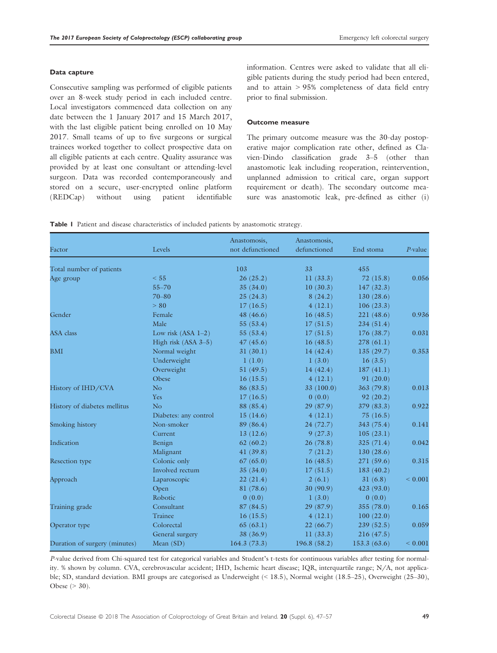#### Data capture

Consecutive sampling was performed of eligible patients over an 8-week study period in each included centre. Local investigators commenced data collection on any date between the 1 January 2017 and 15 March 2017, with the last eligible patient being enrolled on 10 May 2017. Small teams of up to five surgeons or surgical trainees worked together to collect prospective data on all eligible patients at each centre. Quality assurance was provided by at least one consultant or attending-level surgeon. Data was recorded contemporaneously and stored on a secure, user-encrypted online platform (REDCap) without using patient identifiable

information. Centres were asked to validate that all eligible patients during the study period had been entered, and to attain > 95% completeness of data field entry prior to final submission.

#### Outcome measure

The primary outcome measure was the 30-day postoperative major complication rate other, defined as Clavien-Dindo classification grade 3–5 (other than anastomotic leak including reoperation, reintervention, unplanned admission to critical care, organ support requirement or death). The secondary outcome measure was anastomotic leak, pre-defined as either (i)

Table 1 Patient and disease characteristics of included patients by anastomotic strategy.

|                               |                       | Anastomosis,     | Anastomosis, |             |             |
|-------------------------------|-----------------------|------------------|--------------|-------------|-------------|
| Factor                        | Levels                | not defunctioned | defunctioned | End stoma   | $P$ -value  |
| Total number of patients      |                       | 103              | 33           | 455         |             |
| Age group                     | < 55                  | 26(25.2)         | 11(33.3)     | 72(15.8)    | 0.056       |
|                               | $55 - 70$             | 35(34.0)         | 10(30.3)     | 147(32.3)   |             |
|                               | $70 - 80$             | 25(24.3)         | 8(24.2)      | 130(28.6)   |             |
|                               | > 80                  | 17(16.5)         | 4(12.1)      | 106(23.3)   |             |
| Gender                        | Female                | 48(46.6)         | 16(48.5)     | 221(48.6)   | 0.936       |
|                               | Male                  | 55 (53.4)        | 17(51.5)     | 234(51.4)   |             |
| <b>ASA</b> class              | Low risk $(ASA 1-2)$  | 55(53.4)         | 17(51.5)     | 176(38.7)   | 0.031       |
|                               | High risk $(ASA 3-5)$ | 47(45.6)         | 16(48.5)     | 278(61.1)   |             |
| <b>BMI</b>                    | Normal weight         | 31(30.1)         | 14(42.4)     | 135(29.7)   | 0.353       |
|                               | Underweight           | 1(1.0)           | 1(3.0)       | 16(3.5)     |             |
|                               | Overweight            | 51(49.5)         | 14(42.4)     | 187(41.1)   |             |
|                               | Obese                 | 16(15.5)         | 4(12.1)      | 91(20.0)    |             |
| History of IHD/CVA            | N <sub>o</sub>        | 86 (83.5)        | 33(100.0)    | 363(79.8)   | 0.013       |
|                               | Yes                   | 17(16.5)         | 0(0.0)       | 92(20.2)    |             |
| History of diabetes mellitus  | N <sub>o</sub>        | 88 (85.4)        | 29(87.9)     | 379 (83.3)  | 0.922       |
|                               | Diabetes: any control | 15(14.6)         | 4(12.1)      | 75(16.5)    |             |
| Smoking history               | Non-smoker            | 89 (86.4)        | 24(72.7)     | 343 (75.4)  | 0.141       |
|                               | Current               | 13(12.6)         | 9(27.3)      | 105(23.1)   |             |
| Indication                    | Benign                | 62(60.2)         | 26(78.8)     | 325(71.4)   | 0.042       |
|                               | Malignant             | 41(39.8)         | 7(21.2)      | 130(28.6)   |             |
| Resection type                | Colonic only          | 67(65.0)         | 16(48.5)     | 271 (59.6)  | 0.315       |
|                               | Involved rectum       | 35(34.0)         | 17(51.5)     | 183(40.2)   |             |
| Approach                      | Laparoscopic          | 22(21.4)         | 2(6.1)       | 31(6.8)     | ${}< 0.001$ |
|                               | Open                  | 81 (78.6)        | 30(90.9)     | 423(93.0)   |             |
|                               | Robotic               | 0(0.0)           | 1(3.0)       | 0(0.0)      |             |
| Training grade                | Consultant            | 87(84.5)         | 29(87.9)     | 355 (78.0)  | 0.165       |
|                               | Trainee               | 16(15.5)         | 4(12.1)      | 100(22.0)   |             |
| Operator type                 | Colorectal            | 65(63.1)         | 22(66.7)     | 239(52.5)   | 0.059       |
|                               | General surgery       | 38 (36.9)        | 11(33.3)     | 216(47.5)   |             |
| Duration of surgery (minutes) | Mean (SD)             | 164.3(73.3)      | 196.8(58.2)  | 153.3(63.6) | ${}< 0.001$ |

P-value derived from Chi-squared test for categorical variables and Student's t-tests for continuous variables after testing for normality. % shown by column. CVA, cerebrovascular accident; IHD, Ischemic heart disease; IQR, interquartile range; N/A, not applicable; SD, standard deviation. BMI groups are categorised as Underweight (< 18.5), Normal weight (18.5–25), Overweight (25–30), Obese (> 30).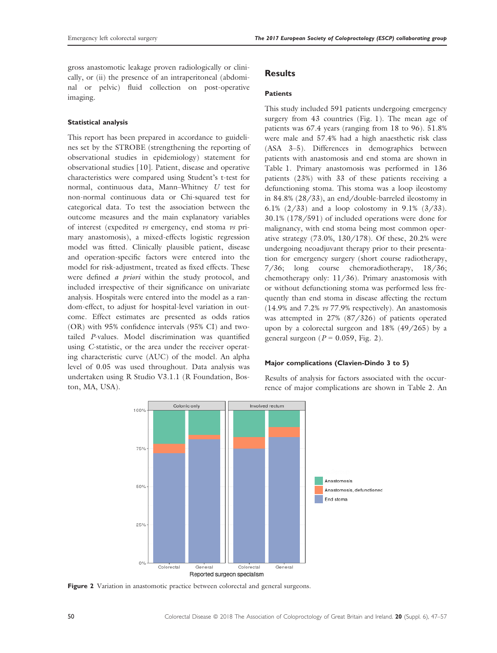gross anastomotic leakage proven radiologically or clinically, or (ii) the presence of an intraperitoneal (abdominal or pelvic) fluid collection on post-operative imaging.

#### Statistical analysis

This report has been prepared in accordance to guidelines set by the STROBE (strengthening the reporting of observational studies in epidemiology) statement for observational studies [10]. Patient, disease and operative characteristics were compared using Student's t-test for normal, continuous data, Mann–Whitney U test for non-normal continuous data or Chi-squared test for categorical data. To test the association between the outcome measures and the main explanatory variables of interest (expedited vs emergency, end stoma vs primary anastomosis), a mixed-effects logistic regression model was fitted. Clinically plausible patient, disease and operation-specific factors were entered into the model for risk-adjustment, treated as fixed effects. These were defined a *priori* within the study protocol, and included irrespective of their significance on univariate analysis. Hospitals were entered into the model as a random-effect, to adjust for hospital-level variation in outcome. Effect estimates are presented as odds ratios (OR) with 95% confidence intervals (95% CI) and twotailed P-values. Model discrimination was quantified using C-statistic, or the area under the receiver operating characteristic curve (AUC) of the model. An alpha level of 0.05 was used throughout. Data analysis was undertaken using R Studio V3.1.1 (R Foundation, Boston, MA, USA).

## **Results**

# Patients

This study included 591 patients undergoing emergency surgery from 43 countries (Fig. 1). The mean age of patients was 67.4 years (ranging from 18 to 96). 51.8% were male and 57.4% had a high anaesthetic risk class (ASA 3–5). Differences in demographics between patients with anastomosis and end stoma are shown in Table 1. Primary anastomosis was performed in 136 patients (23%) with 33 of these patients receiving a defunctioning stoma. This stoma was a loop ileostomy in 84.8% (28/33), an end/double-barreled ileostomy in 6.1% (2/33) and a loop colostomy in 9.1% (3/33). 30.1% (178/591) of included operations were done for malignancy, with end stoma being most common operative strategy (73.0%, 130/178). Of these, 20.2% were undergoing neoadjuvant therapy prior to their presentation for emergency surgery (short course radiotherapy, 7/36; long course chemoradiotherapy, 18/36; chemotherapy only: 11/36). Primary anastomosis with or without defunctioning stoma was performed less frequently than end stoma in disease affecting the rectum (14.9% and 7.2% vs 77.9% respectively). An anastomosis was attempted in 27% (87/326) of patients operated upon by a colorectal surgeon and 18% (49/265) by a general surgeon ( $P = 0.059$ , Fig. 2).

#### Major complications (Clavien-Dindo 3 to 5)

Results of analysis for factors associated with the occurrence of major complications are shown in Table 2. An



Figure 2 Variation in anastomotic practice between colorectal and general surgeons.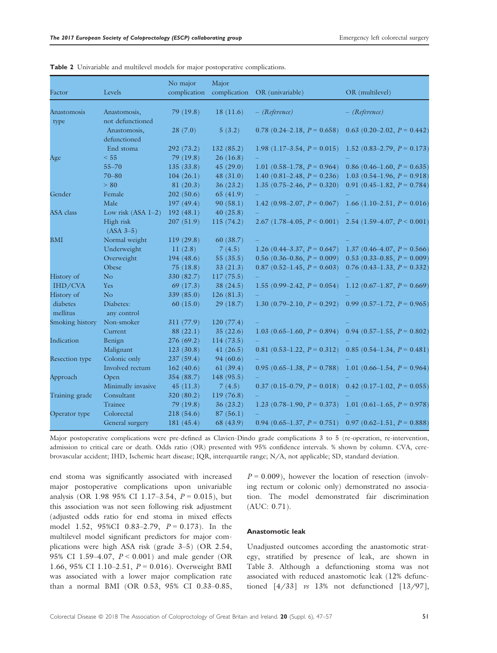| Factor           | Levels                       | No major<br>complication | Major<br>complication | OR (univariable)                 | OR (multilevel)                                               |
|------------------|------------------------------|--------------------------|-----------------------|----------------------------------|---------------------------------------------------------------|
| Anastomosis      | Anastomosis,                 | 79 (19.8)                | 18(11.6)              | $-$ (Reference)                  | $-$ (Reference)                                               |
| type             | not defunctioned             |                          |                       |                                  |                                                               |
|                  | Anastomosis,<br>defunctioned | 28(7.0)                  | 5(3.2)                | $0.78$ (0.24–2.18, $P = 0.658$ ) | $0.63(0.20-2.02, P = 0.442)$                                  |
|                  | End stoma                    | 292(73.2)                | 132(85.2)             | 1.98 (1.17–3.54, $P = 0.015$ )   | 1.52 (0.83–2.79, $P = 0.173$ )                                |
| Age              | < 55                         | 79 (19.8)                | 26(16.8)              |                                  |                                                               |
|                  | $55 - 70$                    | 135(33.8)                | 45(29.0)              | 1.01 (0.58–1.78, $P = 0.964$ )   | $0.86$ (0.46–1.60, $P = 0.635$ )                              |
|                  | $70 - 80$                    | 104(26.1)                | 48(31.0)              | 1.40 (0.81–2.48, $P = 0.236$ )   | 1.03 (0.54–1.96, $P = 0.918$ )                                |
|                  | > 80                         | 81(20.3)                 | 36(23.2)              | 1.35 $(0.75-2.46, P = 0.320)$    | $0.91(0.45-1.82, P=0.784)$                                    |
| Gender           | Female                       | 202(50.6)                | 65 $(41.9)$           |                                  |                                                               |
|                  | Male                         | 197(49.4)                | 90(58.1)              | 1.42 (0.98–2.07, $P = 0.067$ )   | 1.66 (1.10–2.51, $P = 0.016$ )                                |
| <b>ASA</b> class | Low risk $(ASA 1-2)$         | 192(48.1)                | 40(25.8)              |                                  |                                                               |
|                  | High risk<br>$(ASA 3-5)$     | 207(51.9)                | 115(74.2)             |                                  | 2.67 (1.78–4.05, $P < 0.001$ ) 2.54 (1.59–4.07, $P < 0.001$ ) |
| <b>BMI</b>       | Normal weight                | 119(29.8)                | 60(38.7)              |                                  |                                                               |
|                  | Underweight                  | 11(2.8)                  | 7(4.5)                | 1.26 (0.44–3.37, $P = 0.647$ )   | 1.37 (0.46–4.07, $P = 0.566$ )                                |
|                  | Overweight                   | 194(48.6)                | 55(35.5)              | $0.56$ (0.36–0.86, $P = 0.009$ ) | 0.53 (0.33–0.85, $P = 0.009$ )                                |
|                  | Obese                        | 75 (18.8)                | 33(21.3)              | $0.87(0.52-1.45, P = 0.603)$     | $0.76$ (0.43–1.33, $P = 0.332$ )                              |
| History of       | N <sub>o</sub>               | 330 (82.7)               | 117(75.5)             |                                  |                                                               |
| IHD/CVA          | Yes                          | 69 $(17.3)$              | 38(24.5)              | 1.55 $(0.99-2.42, P = 0.054)$    | 1.12 (0.67–1.87, $P = 0.669$ )                                |
| History of       | No                           | 339(85.0)                | 126(81.3)             |                                  |                                                               |
| diabetes         | Diabetes:                    | 60(15.0)                 | 29(18.7)              |                                  | 1.30 (0.79–2.10, $P = 0.292$ ) 0.99 (0.57–1.72, $P = 0.965$ ) |
| mellitus         | any control                  |                          |                       |                                  |                                                               |
| Smoking history  | Non-smoker                   | 311(77.9)                | 120(77.4)             |                                  |                                                               |
|                  | Current                      | 88(22.1)                 | 35(22.6)              | 1.03 (0.65–1.60, $P = 0.894$ )   | $0.94$ (0.57–1.55, $P = 0.802$ )                              |
| Indication       | Benign                       | 276 (69.2)               | 114(73.5)             |                                  |                                                               |
|                  | Malignant                    | 123(30.8)                | 41 $(26.5)$           | 0.81 (0.53–1.22, $P = 0.312$ )   | $0.85(0.54-1.34, P = 0.481)$                                  |
| Resection type   | Colonic only                 | 237(59.4)                | 94(60.6)              |                                  |                                                               |
|                  | Involved rectum              | 162(40.6)                | 61(39.4)              | $0.95(0.65-1.38, P = 0.788)$     | 1.01 (0.66–1.54, $P = 0.964$ )                                |
| Approach         | Open                         | 354 (88.7)               | 148(95.5)             |                                  |                                                               |
|                  | Minimally invasive           | 45(11.3)                 | 7(4.5)                | $0.37(0.15-0.79, P = 0.018)$     | $0.42$ (0.17-1.02, $P = 0.055$ )                              |
| Training grade   | Consultant                   | 320 (80.2)               | 119(76.8)             |                                  |                                                               |
|                  | Trainee                      | 79 (19.8)                | 36(23.2)              | 1.23 (0.78–1.90, $P = 0.373$ )   | 1.01 (0.61–1.65, $P = 0.978$ )                                |
| Operator type    | Colorectal                   | 218(54.6)                | 87(56.1)              |                                  |                                                               |
|                  | General surgery              | 181(45.4)                | 68 (43.9)             |                                  | 0.94 (0.65–1.37, $P = 0.751$ ) 0.97 (0.62–1.51, $P = 0.888$ ) |

Table 2 Univariable and multilevel models for major postoperative complications.

Major postoperative complications were pre-defined as Clavien-Dindo grade complications 3 to 5 (re-operation, re-intervention, admission to critical care or death. Odds ratio (OR) presented with 95% confidence intervals. % shown by column. CVA, cerebrovascular accident; IHD, Ischemic heart disease; IQR, interquartile range; N/A, not applicable; SD, standard deviation.

end stoma was significantly associated with increased major postoperative complications upon univariable analysis (OR 1.98 95% CI 1.17-3.54,  $P = 0.015$ ), but this association was not seen following risk adjustment (adjusted odds ratio for end stoma in mixed effects model 1.52, 95%CI 0.83-2.79,  $P = 0.173$ ). In the multilevel model significant predictors for major complications were high ASA risk (grade 3–5) (OR 2.54, 95% CI 1.59-4.07,  $P < 0.001$ ) and male gender (OR 1.66, 95% CI 1.10–2.51,  $P = 0.016$ ). Overweight BMI was associated with a lower major complication rate than a normal BMI (OR 0.53, 95% CI 0.33–0.85,  $P = 0.009$ ), however the location of resection (involving rectum or colonic only) demonstrated no association. The model demonstrated fair discrimination (AUC: 0.71).

#### Anastomotic leak

Unadjusted outcomes according the anastomotic strategy, stratified by presence of leak, are shown in Table 3. Although a defunctioning stoma was not associated with reduced anastomotic leak (12% defunctioned [4/33] vs 13% not defunctioned [13/97],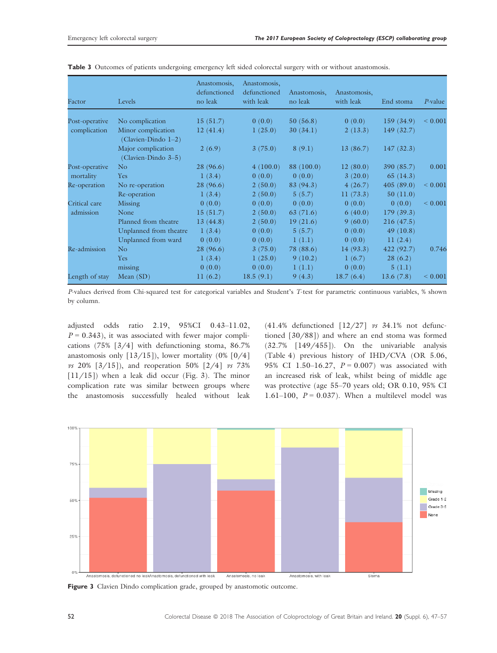| Factor                         | Levels                                                       | Anastomosis,<br>defunctioned<br>no leak | Anastomosis,<br>defunctioned<br>with leak | Anastomosis,<br>no leak | Anastomosis,<br>with leak | End stoma                | $P$ -value   |
|--------------------------------|--------------------------------------------------------------|-----------------------------------------|-------------------------------------------|-------------------------|---------------------------|--------------------------|--------------|
|                                |                                                              |                                         |                                           |                         |                           |                          |              |
| Post-operative<br>complication | No complication<br>Minor complication<br>(Clavien-Dindo 1-2) | 15(51.7)<br>12(41.4)                    | 0(0.0)<br>1(25.0)                         | 50(56.8)<br>30(34.1)    | 0(0.0)<br>2(13.3)         | 159 (34.9)<br>149 (32.7) | ${}< 0.001$  |
|                                | Major complication<br>(Clavien-Dindo 3–5)                    | 2(6.9)                                  | 3(75.0)                                   | 8(9.1)                  | 13(86.7)                  | 147(32.3)                |              |
| Post-operative                 | No                                                           | 28(96.6)                                | 4(100.0)                                  | 88 (100.0)              | 12(80.0)                  | 390 (85.7)               | 0.001        |
| mortality                      | Yes                                                          | 1(3.4)                                  | 0(0.0)                                    | 0(0.0)                  | 3(20.0)                   | 65(14.3)                 |              |
| Re-operation                   | No re-operation                                              | 28(96.6)                                | 2(50.0)                                   | 83 (94.3)               | 4(26.7)                   | 405(89.0)                | ${}_{0.001}$ |
|                                | Re-operation                                                 | 1(3.4)                                  | 2(50.0)                                   | 5(5.7)                  | 11(73.3)                  | 50(11.0)                 |              |
| Critical care                  | <b>Missing</b>                                               | 0(0.0)                                  | 0(0.0)                                    | 0(0.0)                  | 0(0.0)                    | 0(0.0)                   | ${}< 0.001$  |
| admission                      | None                                                         | 15(51.7)                                | 2(50.0)                                   | 63(71.6)                | 6(40.0)                   | 179(39.3)                |              |
|                                | Planned from theatre                                         | 13(44.8)                                | 2(50.0)                                   | 19(21.6)                | 9(60.0)                   | 216(47.5)                |              |
|                                | Unplanned from theatre                                       | 1(3.4)                                  | 0(0.0)                                    | 5(5.7)                  | 0(0.0)                    | 49(10.8)                 |              |
|                                | Unplanned from ward                                          | 0(0.0)                                  | 0(0.0)                                    | 1(1.1)                  | 0(0.0)                    | 11(2.4)                  |              |
| Re-admission                   | No                                                           | 28(96.6)                                | 3(75.0)                                   | 78 (88.6)               | 14(93.3)                  | 422(92.7)                | 0.746        |
|                                | Yes                                                          | 1(3.4)                                  | 1(25.0)                                   | 9(10.2)                 | 1(6.7)                    | 28(6.2)                  |              |
|                                | missing                                                      | 0(0.0)                                  | 0(0.0)                                    | 1(1.1)                  | 0(0.0)                    | 5(1.1)                   |              |
| Length of stay                 | Mean $(SD)$                                                  | 11(6.2)                                 | 18.5(9.1)                                 | 9(4.3)                  | 18.7(6.4)                 | 13.6 $(7.8)$             | ${}_{0.001}$ |

|  | Table 3 Outcomes of patients undergoing emergency left sided colorectal surgery with or without anastomosis. |  |  |  |  |  |  |  |  |  |
|--|--------------------------------------------------------------------------------------------------------------|--|--|--|--|--|--|--|--|--|
|--|--------------------------------------------------------------------------------------------------------------|--|--|--|--|--|--|--|--|--|

P-values derived from Chi-squared test for categorical variables and Student's T-test for parametric continuous variables, % shown by column.

adjusted odds ratio 2.19, 95%CI 0.43–11.02,  $P = 0.343$ ), it was associated with fewer major complications (75% [3/4] with defunctioning stoma, 86.7% anastomosis only  $[13/15]$ ), lower mortality  $(0\%$   $[0/4]$  $\n v s \ 20\% \ [3/15]$ , and reoperation 50%  $\ [2/4]$   $\n v s \ 73\%$ [11/15]) when a leak did occur (Fig. 3). The minor complication rate was similar between groups where the anastomosis successfully healed without leak (41.4% defunctioned [12/27] vs 34.1% not defunctioned [30/88]) and where an end stoma was formed (32.7% [149/455]). On the univariable analysis (Table 4) previous history of IHD/CVA (OR 5.06, 95% CI 1.50-16.27,  $P = 0.007$ ) was associated with an increased risk of leak, whilst being of middle age was protective (age 55–70 years old; OR 0.10, 95% CI 1.61–100,  $P = 0.037$ ). When a multilevel model was



Figure 3 Clavien Dindo complication grade, grouped by anastomotic outcome.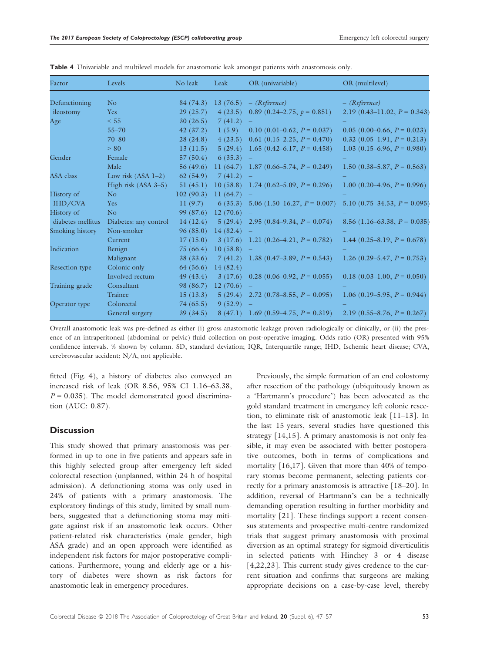| Factor            | Levels                | No leak   | Leak                | OR (univariable)                         | OR (multilevel)                 |
|-------------------|-----------------------|-----------|---------------------|------------------------------------------|---------------------------------|
| Defunctioning     | No                    | 84 (74.3) | 13(76.5)            | $-(Reference)$                           | $-$ (Reference)                 |
| ileostomy         | <b>Yes</b>            | 29(25.7)  | 4(23.5)             | 0.89 (0.24–2.75, $p = 0.851$ )           | 2.19 (0.43–11.02, $P = 0.343$ ) |
| Age               | < 55                  | 30(26.5)  | 7(41.2)             |                                          |                                 |
|                   | $55 - 70$             | 42(37.2)  | 1(5.9)              | $0.10(0.01-0.62, P = 0.037)$             | $0.05(0.00-0.66, P = 0.023)$    |
|                   | $70 - 80$             | 28(24.8)  | 4(23.5)             | 0.61 (0.15–2.25, $P = 0.470$ )           | $0.32(0.05-1.91, P = 0.213)$    |
|                   | > 80                  | 13(11.5)  | 5(29.4)             | 1.65 $(0.42 - 6.17, P = 0.458)$          | 1.03 (0.15–6.96, $P = 0.980$ )  |
| Gender            | Female                | 57(50.4)  | 6(35.3)             |                                          |                                 |
|                   | Male                  | 56(49.6)  | 11(64.7)            | 1.87 $(0.66-5.74, P = 0.249)$            | 1.50 (0.38–5.87, $P = 0.563$ )  |
| ASA class         | Low risk $(ASA 1-2)$  | 62(54.9)  | 7(41.2)             |                                          |                                 |
|                   | High risk $(ASA 3-5)$ | 51(45.1)  |                     | 10 (58.8) 1.74 (0.62–5.09, $P = 0.296$ ) | 1.00 (0.20–4.96, $P = 0.996$ )  |
| History of        | N <sub>o</sub>        | 102(90.3) | 11(64.7)            |                                          |                                 |
| IHD/CVA           | Yes                   | 11(9.7)   |                     | 6 (35.3) 5.06 (1.50–16.27, $P = 0.007$ ) | 5.10 (0.75–34.53, $P = 0.095$ ) |
| History of        | N <sub>o</sub>        |           | 99 (87.6) 12 (70.6) |                                          |                                 |
| diabetes mellitus | Diabetes: any control | 14(12.4)  | 5(29.4)             | 2.95 $(0.84 - 9.34, P = 0.074)$          | 8.56 (1.16–63.38, $P = 0.035$ ) |
| Smoking history   | Non-smoker            | 96(85.0)  | 14(82.4)            |                                          |                                 |
|                   | Current               | 17(15.0)  |                     | $3(17.6)$ 1.21 $(0.26-4.21, P = 0.782)$  | 1.44 $(0.25-8.19, P = 0.678)$   |
| Indication        | Benign                | 75 (66.4) | 10(58.8)            |                                          |                                 |
|                   | Malignant             | 38(33.6)  | 7(41.2)             | 1.38 $(0.47-3.89, P = 0.543)$            | 1.26 (0.29–5.47, $P = 0.753$ )  |
| Resection type    | Colonic only          | 64 (56.6) | 14(82.4)            |                                          |                                 |
|                   | Involved rectum       | 49(43.4)  | 3(17.6)             | $0.28(0.06-0.92, P = 0.055)$             | 0.18 (0.03–1.00, $P = 0.050$ )  |
| Training grade    | Consultant            | 98 (86.7) | 12(70.6)            |                                          |                                 |
|                   | Trainee               | 15(13.3)  | 5(29.4)             | 2.72 (0.78–8.55, $P = 0.095$ )           | 1.06 (0.19–5.95, $P = 0.944$ )  |
| Operator type     | Colorectal            | 74(65.5)  | 9(52.9)             |                                          |                                 |
|                   | General surgery       | 39(34.5)  | 8(47.1)             | 1.69 $(0.59-4.75, P = 0.319)$            | $2.19(0.55-8.76, P = 0.267)$    |

Table 4 Univariable and multilevel models for anastomotic leak amongst patients with anastomosis only.

Overall anastomotic leak was pre-defined as either (i) gross anastomotic leakage proven radiologically or clinically, or (ii) the presence of an intraperitoneal (abdominal or pelvic) fluid collection on post-operative imaging. Odds ratio (OR) presented with 95% confidence intervals. % shown by column. SD, standard deviation; IQR, Interquartile range; IHD, Ischemic heart disease; CVA, cerebrovascular accident; N/A, not applicable.

fitted (Fig. 4), a history of diabetes also conveyed an increased risk of leak (OR 8.56, 95% CI 1.16–63.38,  $P = 0.035$ ). The model demonstrated good discrimination (AUC: 0.87).

# **Discussion**

This study showed that primary anastomosis was performed in up to one in five patients and appears safe in this highly selected group after emergency left sided colorectal resection (unplanned, within 24 h of hospital admission). A defunctioning stoma was only used in 24% of patients with a primary anastomosis. The exploratory findings of this study, limited by small numbers, suggested that a defunctioning stoma may mitigate against risk if an anastomotic leak occurs. Other patient-related risk characteristics (male gender, high ASA grade) and an open approach were identified as independent risk factors for major postoperative complications. Furthermore, young and elderly age or a history of diabetes were shown as risk factors for anastomotic leak in emergency procedures.

Previously, the simple formation of an end colostomy after resection of the pathology (ubiquitously known as a 'Hartmann's procedure') has been advocated as the gold standard treatment in emergency left colonic resection, to eliminate risk of anastomotic leak [11–13]. In the last 15 years, several studies have questioned this strategy [14,15]. A primary anastomosis is not only feasible, it may even be associated with better postoperative outcomes, both in terms of complications and mortality [16,17]. Given that more than 40% of temporary stomas become permanent, selecting patients correctly for a primary anastomosis is attractive [18–20]. In addition, reversal of Hartmann's can be a technically demanding operation resulting in further morbidity and mortality [21]. These findings support a recent consensus statements and prospective multi-centre randomized trials that suggest primary anastomosis with proximal diversion as an optimal strategy for sigmoid diverticulitis in selected patients with Hinchey 3 or 4 disease [4,22,23]. This current study gives credence to the current situation and confirms that surgeons are making appropriate decisions on a case-by-case level, thereby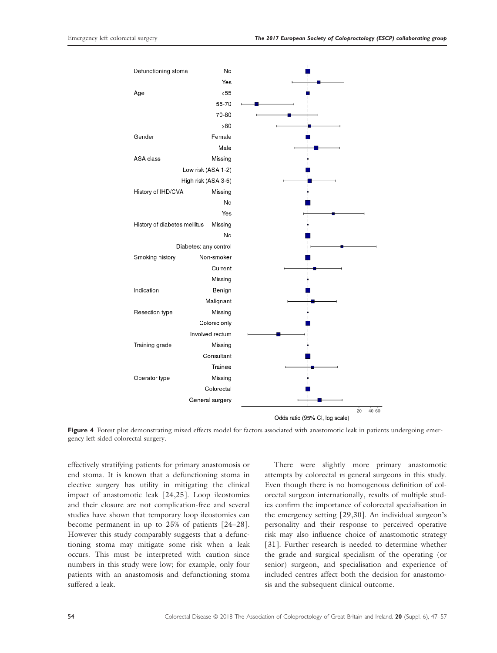

Figure 4 Forest plot demonstrating mixed effects model for factors associated with anastomotic leak in patients undergoing emergency left sided colorectal surgery.

effectively stratifying patients for primary anastomosis or end stoma. It is known that a defunctioning stoma in elective surgery has utility in mitigating the clinical impact of anastomotic leak [24,25]. Loop ileostomies and their closure are not complication-free and several studies have shown that temporary loop ileostomies can become permanent in up to 25% of patients [24–28]. However this study comparably suggests that a defunctioning stoma may mitigate some risk when a leak occurs. This must be interpreted with caution since numbers in this study were low; for example, only four patients with an anastomosis and defunctioning stoma suffered a leak.

There were slightly more primary anastomotic attempts by colorectal vs general surgeons in this study. Even though there is no homogenous definition of colorectal surgeon internationally, results of multiple studies confirm the importance of colorectal specialisation in the emergency setting [29,30]. An individual surgeon's personality and their response to perceived operative risk may also influence choice of anastomotic strategy [31]. Further research is needed to determine whether the grade and surgical specialism of the operating (or senior) surgeon, and specialisation and experience of included centres affect both the decision for anastomosis and the subsequent clinical outcome.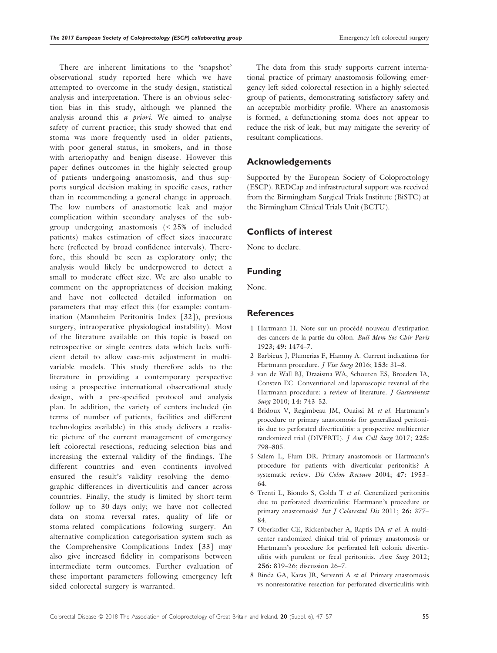There are inherent limitations to the 'snapshot' observational study reported here which we have attempted to overcome in the study design, statistical analysis and interpretation. There is an obvious selection bias in this study, although we planned the analysis around this  $a$  priori. We aimed to analyse safety of current practice; this study showed that end stoma was more frequently used in older patients, with poor general status, in smokers, and in those with arteriopathy and benign disease. However this paper defines outcomes in the highly selected group of patients undergoing anastomosis, and thus supports surgical decision making in specific cases, rather than in recommending a general change in approach. The low numbers of anastomotic leak and major complication within secondary analyses of the subgroup undergoing anastomosis (< 25% of included patients) makes estimation of effect sizes inaccurate here (reflected by broad confidence intervals). Therefore, this should be seen as exploratory only; the analysis would likely be underpowered to detect a small to moderate effect size. We are also unable to comment on the appropriateness of decision making and have not collected detailed information on parameters that may effect this (for example: contamination (Mannheim Peritonitis Index [32]), previous surgery, intraoperative physiological instability). Most of the literature available on this topic is based on retrospective or single centres data which lacks sufficient detail to allow case-mix adjustment in multivariable models. This study therefore adds to the literature in providing a contemporary perspective using a prospective international observational study design, with a pre-specified protocol and analysis plan. In addition, the variety of centers included (in terms of number of patients, facilities and different technologies available) in this study delivers a realistic picture of the current management of emergency left colorectal resections, reducing selection bias and increasing the external validity of the findings. The different countries and even continents involved ensured the result's validity resolving the demographic differences in diverticulitis and cancer across countries. Finally, the study is limited by short-term follow up to 30 days only; we have not collected data on stoma reversal rates, quality of life or stoma-related complications following surgery. An alternative complication categorisation system such as the Comprehensive Complications Index [33] may also give increased fidelity in comparisons between intermediate term outcomes. Further evaluation of these important parameters following emergency left sided colorectal surgery is warranted.

The data from this study supports current international practice of primary anastomosis following emergency left sided colorectal resection in a highly selected group of patients, demonstrating satisfactory safety and an acceptable morbidity profile. Where an anastomosis is formed, a defunctioning stoma does not appear to reduce the risk of leak, but may mitigate the severity of resultant complications.

## Acknowledgements

Supported by the European Society of Coloproctology (ESCP). REDCap and infrastructural support was received from the Birmingham Surgical Trials Institute (BiSTC) at the Birmingham Clinical Trials Unit (BCTU).

# Conflicts of interest

None to declare.

### Funding

None.

### **References**

- 1 Hartmann H. Note sur un procede nouveau d'extirpation des cancers de la partie du côlon. Bull Mem Soc Chir Paris 1923; 49: 1474–7.
- 2 Barbieux J, Plumerias F, Hammy A. Current indications for Hartmann procedure. *J Visc Surg* 2016; 153: 31-8.
- 3 van de Wall BJ, Draaisma WA, Schouten ES, Broeders IA, Consten EC. Conventional and laparoscopic reversal of the Hartmann procedure: a review of literature. *J Gastrointest* Surg 2010; 14: <sup>743</sup>–52.
- 4 Bridoux V, Regimbeau JM, Ouaissi M et al. Hartmann's procedure or primary anastomosis for generalized peritonitis due to perforated diverticulitis: a prospective multicenter randomized trial (DIVERTI). J Am Coll Surg 2017; 225: 798–805.
- 5 Salem L, Flum DR. Primary anastomosis or Hartmann's procedure for patients with diverticular peritonitis? A systematic review. Dis Colon Rectum 2004; 47: 1953-64.
- 6 Trenti L, Biondo S, Golda T et al. Generalized peritonitis due to perforated diverticulitis: Hartmann's procedure or primary anastomosis? Int J Colorectal Dis 2011; 26: 377-84.
- 7 Oberkofler CE, Rickenbacher A, Raptis DA et al. A multicenter randomized clinical trial of primary anastomosis or Hartmann's procedure for perforated left colonic diverticulitis with purulent or fecal peritonitis. Ann Surg 2012; 256: 819–26; discussion 26–7.
- 8 Binda GA, Karas JR, Serventi A et al. Primary anastomosis vs nonrestorative resection for perforated diverticulitis with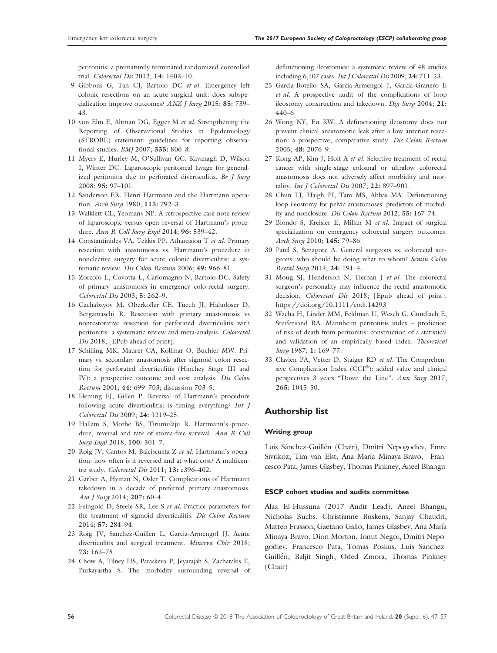peritonitis: a prematurely terminated randomized controlled trial. Colorectal Dis 2012; 14: <sup>1403</sup>–10.

- 9 Gibbons G, Tan CJ, Bartolo DC et al. Emergency left colonic resections on an acute surgical unit: does subspecialization improve outcomes? ANZ J Surg 2015; 85: 739-43.
- 10 von Elm E, Altman DG, Egger M et al. Strengthening the Reporting of Observational Studies in Epidemiology (STROBE) statement: guidelines for reporting observational studies. BMJ 2007; 335: <sup>806</sup>–8.
- 11 Myers E, Hurley M, O'Sullivan GC, Kavanagh D, Wilson I, Winter DC. Laparoscopic peritoneal lavage for generalized peritonitis due to perforated diverticulitis. Br J Surg 2008; 95: 97–101.
- 12 Sanderson ER. Henri Hartmann and the Hartmann operation. Arch Surg 1980; 115: <sup>792</sup>–3.
- 13 Walklett CL, Yeomans NP. A retrospective case note review of laparoscopic versus open reversal of Hartmann's procedure. Ann R Coll Surg Engl 2014; 96: 539-42.
- 14 Constantinides VA, Tekkis PP, Athanasiou T et al. Primary resection with anastomosis vs. Hartmann's procedure in nonelective surgery for acute colonic diverticulitis: a systematic review. Dis Colon Rectum 2006; 49: 966-81.
- 15 Zorcolo L, Covotta L, Carlomagno N, Bartolo DC. Safety of primary anastomosis in emergency colo-rectal surgery. Colorectal Dis 2003; 5: <sup>262</sup>–9.
- 16 Gachabayov M, Oberkofler CE, Tuech JJ, Hahnloser D, Bergamaschi R. Resection with primary anastomosis vs nonrestorative resection for perforated diverticulitis with peritonitis: a systematic review and meta-analysis. Colorectal Dis 2018; [EPub ahead of print].
- 17 Schilling MK, Maurer CA, Kollmar O, Buchler MW. Primary vs. secondary anastomosis after sigmoid colon resection for perforated diverticulitis (Hinchey Stage III and IV): a prospective outcome and cost analysis. Dis Colon Rectum 2001; 44: <sup>699</sup>–703; discussion 703–5.
- 18 Fleming FJ, Gillen P. Reversal of Hartmann's procedure following acute diverticulitis: is timing everything? Int J Colorectal Dis 2009; 24: <sup>1219</sup>–25.
- 19 Hallam S, Mothe BS, Tirumulaju R. Hartmann's procedure, reversal and rate of stoma-free survival. Ann R Coll Surg Engl 2018; 100: <sup>301</sup>–7.
- 20 Roig JV, Cantos M, Balciscueta Z et al. Hartmann's operation: how often is it reversed and at what cost? A multicentre study. Colorectal Dis 2011; 13: e396–402.
- 21 Garber A, Hyman N, Osler T. Complications of Hartmann takedown in a decade of preferred primary anastomosis. Am J Surg 2014; 207: <sup>60</sup>–4.
- 22 Feingold D, Steele SR, Lee S et al. Practice parameters for the treatment of sigmoid diverticulitis. Dis Colon Rectum 2014; 57: 284–94.
- 23 Roig JV, Sanchez-Guillen L, Garcia-Armengol JJ. Acute diverticulitis and surgical treatment. Minerva Chir 2018; 73: 163–78.
- 24 Chow A, Tilney HS, Paraskeva P, Jeyarajah S, Zacharakis E, Purkayastha S. The morbidity surrounding reversal of

defunctioning ileostomies: a systematic review of 48 studies including 6,107 cases. Int J Colorectal Dis 2009; 24: <sup>711</sup>–23.

- 25 Garcia-Botello SA, Garcia-Armengol J, Garcia-Granero E et al. A prospective audit of the complications of loop ileostomy construction and takedown. Dig Surg 2004; 21: 440–6.
- 26 Wong NY, Eu KW. A defunctioning ileostomy does not prevent clinical anastomotic leak after a low anterior resection: a prospective, comparative study. Dis Colon Rectum 2005; 48: 2076–9.
- 27 Kong AP, Kim J, Holt A et al. Selective treatment of rectal cancer with single-stage coloanal or ultralow colorectal anastomosis does not adversely affect morbidity and mortality. Int J Colorectal Dis 2007; 22: 897-901.
- 28 Chun LJ, Haigh PI, Tam MS, Abbas MA. Defunctioning loop ileostomy for pelvic anastomoses: predictors of morbidity and nonclosure. Dis Colon Rectum 2012; 55: <sup>167</sup>–74.
- 29 Biondo S, Kreisler E, Millan M et al. Impact of surgical specialization on emergency colorectal surgery outcomes. Arch Surg 2010; 145: <sup>79</sup>–86.
- 30 Patel S, Senagore A. General surgeons vs. colorectal surgeons: who should be doing what to whom? Semin Colon Rectal Surg 2013; 24: <sup>191</sup>–4.
- 31 Moug SJ, Henderson N, Tiernan J et al. The colorectal surgeon's personality may influence the rectal anastomotic decision. Colorectal Dis 2018; [Epub ahead of print]. <https://doi.org/10.1111/codi.14293>
- 32 Wacha H, Linder MM, Feldman U, Wesch G, Gundlach E, Steifensand RA. Mannheim peritonitis index – prediction of risk of death from peritonitis: construction of a statistical and validation of an empirically based index. Theoretical Surg 1987; 1: 169-77.
- 33 Clavien PA, Vetter D, Staiger RD et al. The Comprehensive Complication Index (CCI®): added value and clinical perspectives 3 years "Down the Line". Ann Surg 2017; 265: 1045–50.

# Authorship list

## Writing group

Luis Sánchez-Guillén (Chair), Dmitri Nepogodiev, Emre Sivrikoz, Tim van Elst, Ana María Minaya-Bravo, Francesco Pata, James Glasbey, Thomas Pinkney, Aneel Bhangu

#### ESCP cohort studies and audits committee

Alaa El-Hussuna (2017 Audit Lead), Aneel Bhangu, Nicholas Buchs, Christianne Buskens, Sanjay Chaudri, Matteo Frasson, Gaetano Gallo, James Glasbey, Ana María Minaya-Bravo, Dion Morton, Ionut Negoi, Dmitri Nepogodiev, Francesco Pata, Tomas Poskus, Luis Sánchez-Guillen, Baljit Singh, Oded Zmora, Thomas Pinkney (Chair)